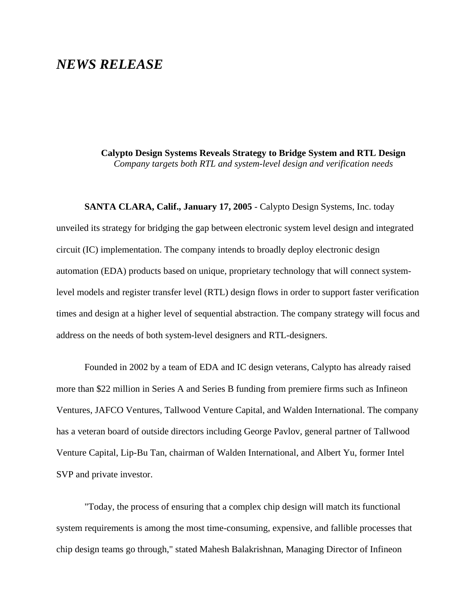## *NEWS RELEASE*

**Calypto Design Systems Reveals Strategy to Bridge System and RTL Design** *Company targets both RTL and system-level design and verification needs*

**SANTA CLARA, Calif., January 17, 2005** - Calypto Design Systems, Inc. today unveiled its strategy for bridging the gap between electronic system level design and integrated circuit (IC) implementation. The company intends to broadly deploy electronic design automation (EDA) products based on unique, proprietary technology that will connect systemlevel models and register transfer level (RTL) design flows in order to support faster verification times and design at a higher level of sequential abstraction. The company strategy will focus and address on the needs of both system-level designers and RTL-designers.

Founded in 2002 by a team of EDA and IC design veterans, Calypto has already raised more than \$22 million in Series A and Series B funding from premiere firms such as Infineon Ventures, JAFCO Ventures, Tallwood Venture Capital, and Walden International. The company has a veteran board of outside directors including George Pavlov, general partner of Tallwood Venture Capital, Lip-Bu Tan, chairman of Walden International, and Albert Yu, former Intel SVP and private investor.

"Today, the process of ensuring that a complex chip design will match its functional system requirements is among the most time-consuming, expensive, and fallible processes that chip design teams go through," stated Mahesh Balakrishnan, Managing Director of Infineon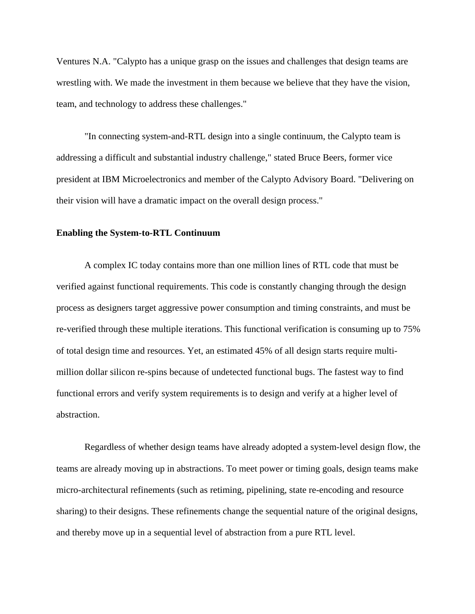Ventures N.A. "Calypto has a unique grasp on the issues and challenges that design teams are wrestling with. We made the investment in them because we believe that they have the vision, team, and technology to address these challenges."

"In connecting system-and-RTL design into a single continuum, the Calypto team is addressing a difficult and substantial industry challenge," stated Bruce Beers, former vice president at IBM Microelectronics and member of the Calypto Advisory Board. "Delivering on their vision will have a dramatic impact on the overall design process."

## **Enabling the System-to-RTL Continuum**

A complex IC today contains more than one million lines of RTL code that must be verified against functional requirements. This code is constantly changing through the design process as designers target aggressive power consumption and timing constraints, and must be re-verified through these multiple iterations. This functional verification is consuming up to 75% of total design time and resources. Yet, an estimated 45% of all design starts require multimillion dollar silicon re-spins because of undetected functional bugs. The fastest way to find functional errors and verify system requirements is to design and verify at a higher level of abstraction.

Regardless of whether design teams have already adopted a system-level design flow, the teams are already moving up in abstractions. To meet power or timing goals, design teams make micro-architectural refinements (such as retiming, pipelining, state re-encoding and resource sharing) to their designs. These refinements change the sequential nature of the original designs, and thereby move up in a sequential level of abstraction from a pure RTL level.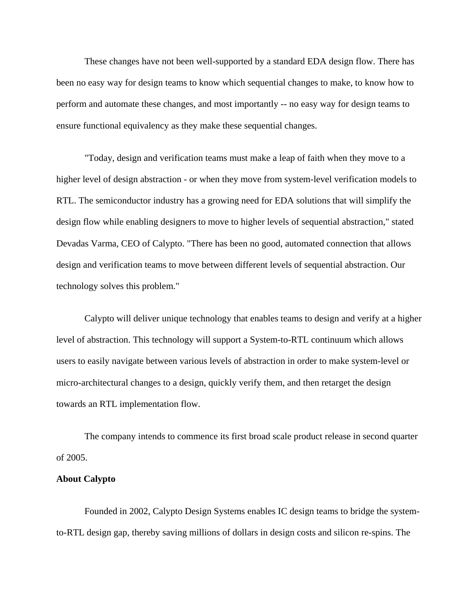These changes have not been well-supported by a standard EDA design flow. There has been no easy way for design teams to know which sequential changes to make, to know how to perform and automate these changes, and most importantly -- no easy way for design teams to ensure functional equivalency as they make these sequential changes.

"Today, design and verification teams must make a leap of faith when they move to a higher level of design abstraction - or when they move from system-level verification models to RTL. The semiconductor industry has a growing need for EDA solutions that will simplify the design flow while enabling designers to move to higher levels of sequential abstraction," stated Devadas Varma, CEO of Calypto. "There has been no good, automated connection that allows design and verification teams to move between different levels of sequential abstraction. Our technology solves this problem."

Calypto will deliver unique technology that enables teams to design and verify at a higher level of abstraction. This technology will support a System-to-RTL continuum which allows users to easily navigate between various levels of abstraction in order to make system-level or micro-architectural changes to a design, quickly verify them, and then retarget the design towards an RTL implementation flow.

The company intends to commence its first broad scale product release in second quarter of 2005.

## **About Calypto**

Founded in 2002, Calypto Design Systems enables IC design teams to bridge the systemto-RTL design gap, thereby saving millions of dollars in design costs and silicon re-spins. The